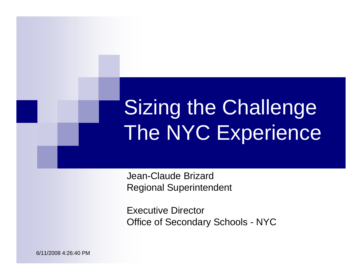# Sizing the Challenge The NYC Experience

Jean-Claude BrizardRegional Superintendent

Executive DirectorOffice of Secondary Schools - NYC

6/11/2008 4:26:40 PM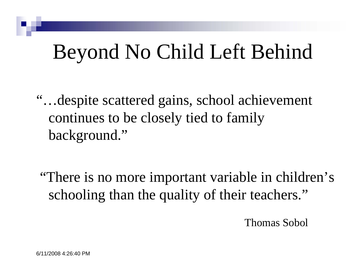## Beyond No Child Left Behind

"…despite scattered gains, school achievement continues to be closely tied to family background."

"There is no more important variable in children's schooling than the quality of their teachers."

Thomas Sobol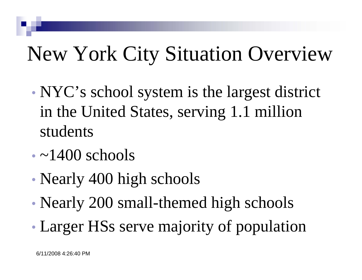# New York City Situation Overview

- NYC's school system is the largest district in the United States, serving 1.1 million students
- $\cdot$  ~1400 schools
- Nearly 400 high schools
- Nearly 200 small-themed high schools

• Larger HSs serve majority of population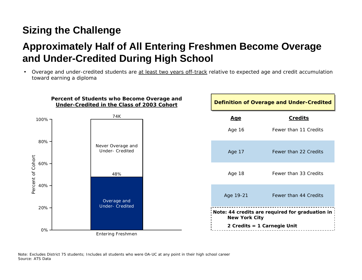#### **Approximately Half of All Entering Freshmen Become Overage and Under-Credited During High School**

• Overage and under-credited students are at least two years off-track relative to expected age and credit accumulation toward earning a diploma

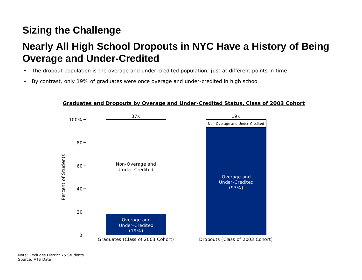#### **Nearly All High School Dropouts in NYC Have a History of Being Overage and Under-Credited**

- The dropout population *is* the overage and under-credited population, just at different points in time
- By contrast, only 19% of graduates were once overage and under-credited in high school



#### **Graduates and Dropouts by Overage and Under-Credited Status, Class of 2003 Cohort**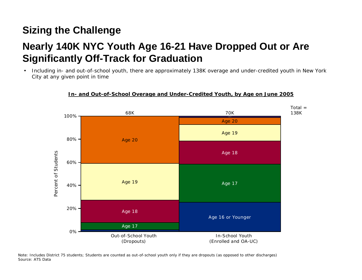### **Nearly 140K NYC Youth Age 16-21 Have Dropped Out or Are Significantly Off-Track for Graduation**

• Including in- and out-of-school youth, there are approximately 138K overage and under-credited youth in New York City at any given point in time



#### **In- and Out-of-School Overage and Under-Credited Youth, by Age on June 2005**

Note: Includes District 75 students; Students are counted as out-of-school youth only if they are dropouts (as opposed to other discharges) Source: ATS Data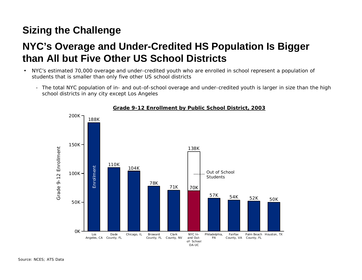#### **NYC's Overage and Under-Credited HS Population Is Bigger than All but Five Other US School Districts**

- NYC's estimated 70,000 overage and under-credited youth who are *enrolled* in school represent a population of students that is smaller than only five other US school districts
	- The total NYC population of in- and out-of-school overage and under-credited youth is larger in size than the high school districts in any city except Los Angeles



#### **Grade 9-12 Enrollment by Public School District, 2003**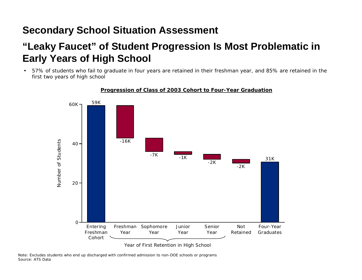#### **Secondary School Situation Assessment**

#### **"Leaky Faucet" of Student Progression Is Most Problematic in Early Years of High School**

• 57% of students who fail to graduate in four years are retained in their freshman year, and 85% are retained in the first two years of high school



#### **Progression of Class of 2003 Cohort to Four-Year Graduation**

Note: Excludes students who end up discharged with confirmed admission to non-DOE schools or programs Source: ATS Data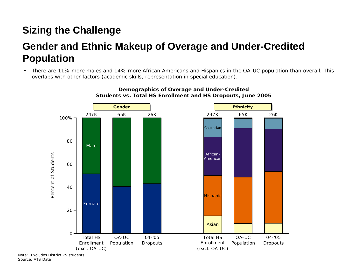#### **Gender and Ethnic Makeup of Overage and Under-Credited Population**

• There are 11% more males and 14% more African Americans and Hispanics in the OA-UC population than overall. This overlaps with other factors (academic skills, representation in special education).



#### **Demographics of Overage and Under-Credited Students vs. Total HS Enrollment and HS Dropouts, June 2005**

Note: Excludes District 75 students Source: ATS Data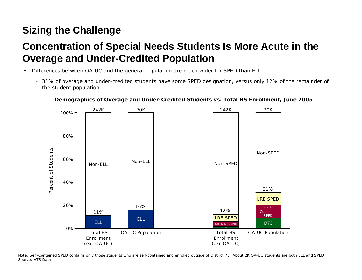#### **Concentration of Special Needs Students Is More Acute in the Overage and Under-Credited Population**

- Differences between OA-UC and the general population are much wider for SPED than ELL
	- 31% of overage and under-credited students have some SPED designation, versus only 12% of the remainder of the student population



#### **Demographics of Overage and Under-Credited Students vs. Total HS Enrollment, June 2005**

Note: Self-Contained SPED contains only those students who are self-contained and enrolled outside of District 75; About 2K OA-UC students are both ELL and SPED Source: ATS Data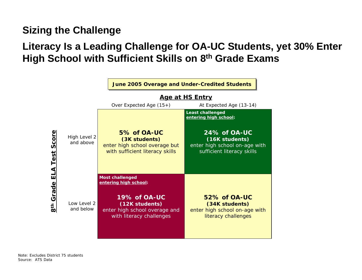#### **Literacy Is a Leading Challenge for OA-UC Students, yet 30% Enter High School with Sufficient Skills on 8th Grade Exams**

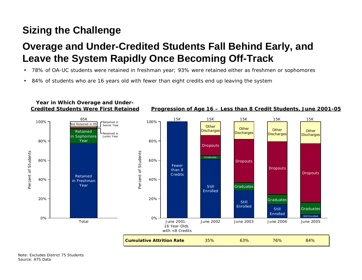### **Overage and Under-Credited Students Fall Behind Early, and Leave the System Rapidly Once Becoming Off-Track**

- 78% of OA-UC students were retained in freshman year; 93% were retained either as freshmen or sophomores
- 84% of students who are 16 years old with fewer than eight credits end up leaving the system

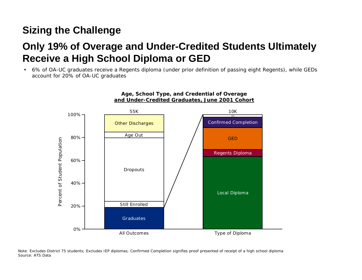#### **Only 19% of Overage and Under-Credited Students Ultimately Receive a High School Diploma or GED**

• 6% of OA-UC graduates receive a Regents diploma (under prior definition of passing eight Regents), while GEDs account for 20% of OA-UC graduates



Note: Excludes District 75 students; Excludes IEP diplomas; Confirmed Completion signifies proof presented of receipt of a high school diploma Source: ATS Data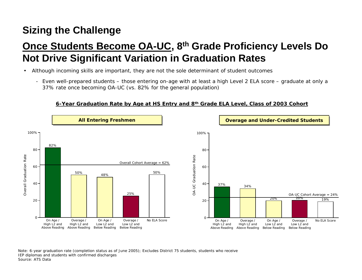### **Once Students Become OA-UC, 8th Grade Proficiency Levels Do Not Drive Significant Variation in Graduation Rates**

- Although incoming skills are important, they are not the sole determinant of student outcomes
	- Even well-prepared students those entering on-age with at least a high Level 2 ELA score graduate at only a 37% rate once becoming OA-UC (vs. 82% for the general population)

#### **6-Year Graduation Rate by Age at HS Entry and 8th Grade ELA Level, Class of 2003 Cohort**



Note: 6-year graduation rate (completion status as of June 2005); Excludes District 75 students, students who receive IEP diplomas and students with confirmed discharges Source: ATS Data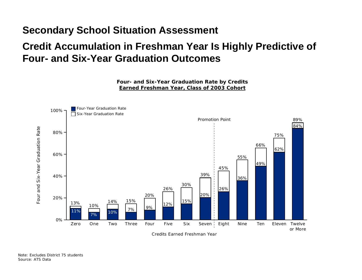#### **Secondary School Situation Assessment**

#### **Credit Accumulation in Freshman Year Is Highly Predictive of Four- and Six-Year Graduation Outcomes**

**Four- and Six-Year Graduation Rate by Credits Earned Freshman Year, Class of 2003 Cohort**



Note: Excludes District 75 students Source: ATS Data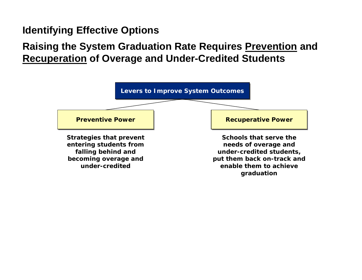#### **Identifying Effective Options**

#### **Raising the System Graduation Rate Requires Prevention and Recuperation of Overage and Under-Credited Students**

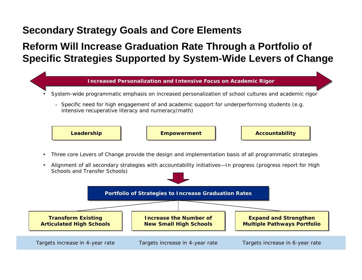#### **Secondary Strategy Goals and Core Elements**

#### **Reform Will Increase Graduation Rate Through a Portfolio of Specific Strategies Supported by System-Wide Levers of Change**

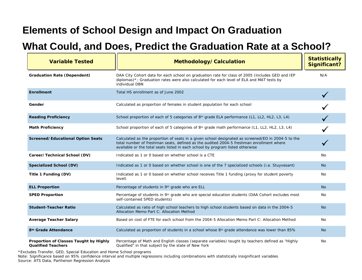#### **Elements of School Design and Impact On Graduation**

#### **What Could, and Does, Predict the Graduation Rate at a School?**

| <b>Variable Tested</b>                                              | Methodology/Calculation                                                                                                                                                                                                                                                         | <b>Statistically</b><br><b>Significant?</b> |
|---------------------------------------------------------------------|---------------------------------------------------------------------------------------------------------------------------------------------------------------------------------------------------------------------------------------------------------------------------------|---------------------------------------------|
| <b>Graduation Rate (Dependent)</b>                                  | DAA City Cohort data for each school on graduation rate for class of 2005 (includes GED and IEP<br>diplomas)*; Graduation rates were also calculated for each level of ELA and MAT tests by<br>individual DBN                                                                   | N/A                                         |
| <b>Enrollment</b>                                                   | Total HS enrollment as of June 2002                                                                                                                                                                                                                                             |                                             |
| Gender                                                              | Calculated as proportion of females in student population for each school                                                                                                                                                                                                       |                                             |
| <b>Reading Proficiency</b>                                          | School proportion of each of 5 categories of 8 <sup>th</sup> grade ELA performance (L1, LL2, HL2, L3, L4)                                                                                                                                                                       |                                             |
| <b>Math Proficiency</b>                                             | School proportion of each of 5 categories of 8 <sup>th</sup> grade math performance (L1, LL2, HL2, L3, L4)                                                                                                                                                                      |                                             |
| <b>Screened/Educational Option Seats</b>                            | Calculated as the proportion of seats in a given school designated as screened/EO in 2004-5 to the<br>total number of freshman seats, defined as the audited 2004-5 freshman enrollment where<br>available or the total seats listed in each school by program listed otherwise |                                             |
| Career/Technical School (DV)                                        | Indicated as 1 or 0 based on whether school is a CTE                                                                                                                                                                                                                            | No.                                         |
| Specialized School (DV)                                             | Indicated as 1 or 0 based on whether school is one of the 7 specialized schools (i.e. Stuyvesant)                                                                                                                                                                               | <b>No</b>                                   |
| Title 1 Funding (DV)                                                | Indicated as 1 or 0 based on whether school receives Title 1 funding (proxy for student poverty<br>level)                                                                                                                                                                       | <b>No</b>                                   |
| <b>ELL Proportion</b>                                               | Percentage of students in 9th grade who are ELL                                                                                                                                                                                                                                 | N <sub>o</sub>                              |
| <b>SPED Proportion</b>                                              | Percentage of students in 9 <sup>th</sup> grade who are special education students (DAA Cohort excludes most<br>self-contained SPED students)                                                                                                                                   | No                                          |
| <b>Student-Teacher Ratio</b>                                        | Calculated as ratio of high school teachers to high school students based on data in the 2004-5<br>Allocation Memo Part C: Allocation Method                                                                                                                                    | <b>No</b>                                   |
| <b>Average Teacher Salary</b>                                       | Based on cost of FTE for each school from the 2004-5 Allocation Memo Part C: Allocation Method                                                                                                                                                                                  | <b>No</b>                                   |
| 8 <sup>th</sup> Grade Attendance                                    | Calculated as proportion of students in a school whose 8 <sup>th</sup> grade attendance was lower than 85%                                                                                                                                                                      | <b>No</b>                                   |
| Proportion of Classes Taught by Highly<br><b>Qualified Teachers</b> | Percentage of Math and English classes (separate variables) taught by teachers defined as "Highly<br>Qualified" in that subject by the state of New York                                                                                                                        | No                                          |

\*Excludes Transfer, GED, Special Education and Home School programs

Note: Significance based on 95% confidence interval and multiple regressions including combinations with statistically insignificant variables Source: ATS Data, Parthenon Regression Analysis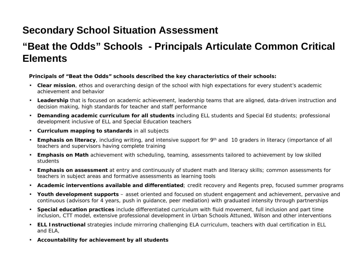#### **Secondary School Situation Assessment**

#### **"Beat the Odds" Schools - Principals Articulate Common Critical Elements**

#### *Principals of "Beat the Odds" schools described the key characteristics of their schools:*

- **Clear mission**, ethos and overarching design of the school with high expectations for every student's academic achievement and behavior
- **Leadership** that is focused on academic achievement, leadership teams that are aligned, data-driven instruction and decision making, high standards for teacher and staff performance
- **Demanding academic curriculum for all students** including ELL students and Special Ed students; professional development inclusive of ELL and Special Education teachers
- **Curriculum mapping to standards** in all subjects
- **Emphasis on literacy**, including writing, and intensive support for 9th and 10 graders in literacy (importance of all teachers and supervisors having complete training
- **Emphasis on Math** achievement with scheduling, teaming, assessments tailored to achievement by low skilled students
- **Emphasis on assessment** at entry and continuously of student math and literacy skills; common assessments for teachers in subject areas and formative assessments as learning tools
- **Academic interventions available and differentiated**; credit recovery and Regents prep, focused summer programs
- **Youth development supports**  asset oriented and focused on student engagement and achievement, pervasive and continuous (advisors for 4 years, push in guidance, peer mediation) with graduated intensity through partnerships
- **Special education practices** include differentiated curriculum with fluid movement, full inclusion and part time inclusion, CTT model, extensive professional development in Urban Schools Attuned, Wilson and other interventions
- **ELL Instructional** strategies include mirroring challenging ELA curriculum, teachers with dual certification in ELL and ELA,
- **Accountability for achievement by all students**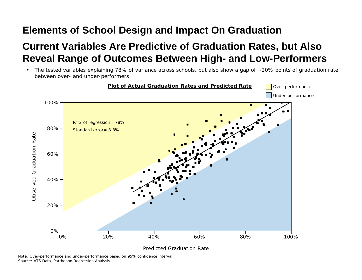#### **Elements of School Design and Impact On Graduation**

### **Current Variables Are Predictive of Graduation Rates, but Also Reveal Range of Outcomes Between High- and Low-Performers**

• The tested variables explaining 78% of variance across schools, but also show a gap of ~20% points of graduation rate between over- and under-performers



Note: Over-performance and under-performance based on 95% confidence interval Source: ATS Data, Parthenon Regression Analysis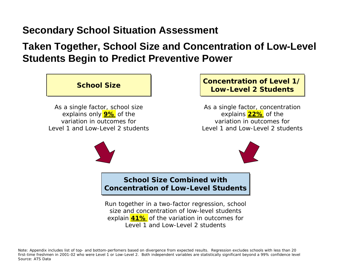#### **Secondary School Situation Assessment**

#### **Taken Together, School Size and Concentration of Low-Level Students Begin to Predict Preventive Power**



#### **Concentration of Level 1/ Concentration of Level 1/ Low-Level 2 Students Low-Level 2 Students**

*As a single factor*, concentration explains **22%** of the variation in outcomes for Level 1 and Low-Level 2 students





#### **School Size Combined with Concentration of Low-Level Students** |

*Run together in a two-factor regression*, school size and concentration of low-level students explain **41%** of the variation in outcomes for Level 1 and Low-Level 2 students

Note: Appendix includes list of top- and bottom-perfomers based on divergence from expected results. Regression excludes schools with less than 20 first-time freshmen in 2001-02 who were Level 1 or Low-Level 2. Both independent variables are statistically significant beyond a 99% confidence level Source: ATS Data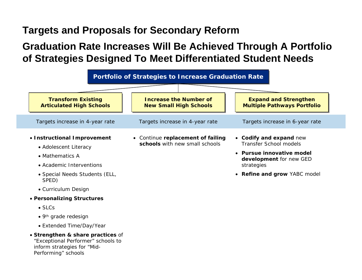#### **Targets and Proposals for Secondary Reform**

#### **Graduation Rate Increases Will Be Achieved Through A Portfolio of Strategies Designed To Meet Differentiated Student Needs**



Performing" schools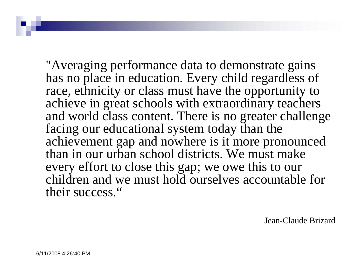"Averaging performance data to demonstrate gains has no place in education. Every child regardless of race, ethnicity or class must have the opportunity to achieve in great schools with extraordinary teachers and world class content. There is no greater challenge facing our educational system today than the achievement gap and nowhere is it more pronounced than in our urban school districts. We must make every effort to close this gap; we owe this to our children and we must hold ourselves accountable for their success."

Jean-Claude Brizard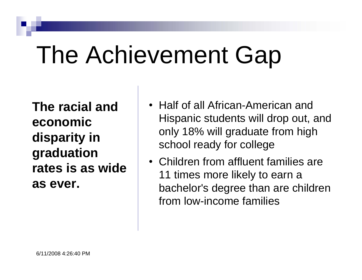# The Achievement Gap

**The racial and economic disparity in graduation rates is as wide as ever.**

- Half of all African-American and Hispanic students will drop out, and only 18% will graduate from high school ready for college
- Children from affluent families are 11 times more likely to earn a bachelor's degree than are children from low-income families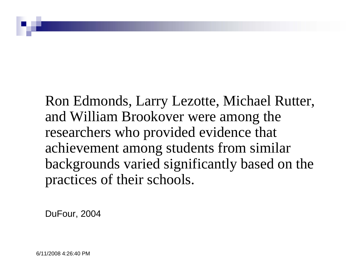Ron Edmonds, Larry Lezotte, Michael Rutter, and William Brookover were among the researchers who provided evidence that achievement among students from similar backgrounds varied significantly based on the practices of their schools.

DuFour, 2004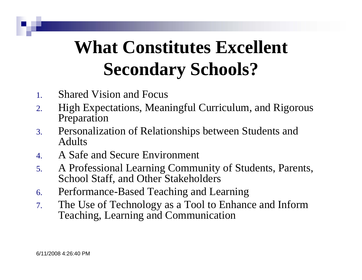## **What Constitutes Excellent Secondary Schools?**

- 1. Shared Vision and Focus
- 2. High Expectations, Meaningful Curriculum, and Rigorous Preparation
- 3. Personalization of Relationships between Students and Adults
- 4. A Safe and Secure Environment
- 5. A Professional Learning Community of Students, Parents, School Staff, and Other Stakeholders
- 6. Performance-Based Teaching and Learning
- 7. The Use of Technology as a Tool to Enhance and Inform Teaching, Learning and Communication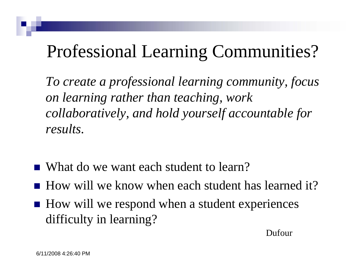### Professional Learning Communities?

*To create a professional learning community, focus on learning rather than teaching, work collaboratively, and hold yourself accountable for results.* 

- What do we want each student to learn?
- $\blacksquare$  How will we know when each student has learned it?
- How will we respond when a student experiences difficulty in learning?

Dufour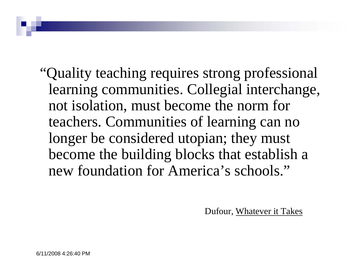"Quality teaching requires strong professional learning communities. Collegial interchange, not isolation, must become the norm for teachers. Communities of learning can no longer be considered utopian; they must become the building blocks that establish a new foundation for America's schools."

Dufour, Whatever it Takes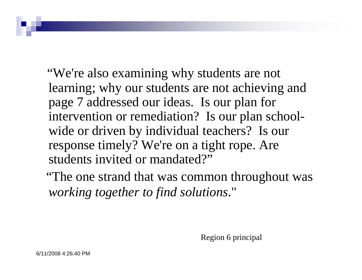"We're also examining why students are not learning; why our students are not achieving and page 7 addressed our ideas. Is our plan for intervention or remediation? Is our plan schoolwide or driven by individual teachers? Is our response timely? We're on a tight rope. Are students invited or mandated?"

"The one strand that was common throughout was *working together to find solutions*."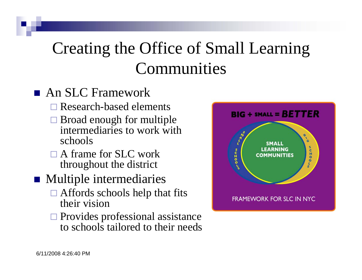### Creating the Office of Small Learning Communities

### **An SLC Framework**

- **□ Research-based elements**
- $\square$  Broad enough for multiple intermediaries to work with schools
- □ A frame for SLC work throughout the district

### **Nultiple intermediaries**

- $\Box$  Affords schools help that fits their vision
- $\square$  Provides professional assistance to schools tailored to their needs

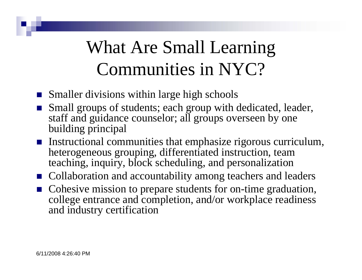## What Are Small Learning Communities in NYC?

- **Smaller divisions within large high schools**
- Small groups of students; each group with dedicated, leader, staff and guidance counselor; all groups overseen by one building principal
- **I** Instructional communities that emphasize rigorous curriculum, heterogeneous grouping, differentiated instruction, team teaching, inquiry, block scheduling, and personalization
- Collaboration and accountability among teachers and leaders
- Cohesive mission to prepare students for on-time graduation, college entrance and completion, and/or workplace readiness and industry certification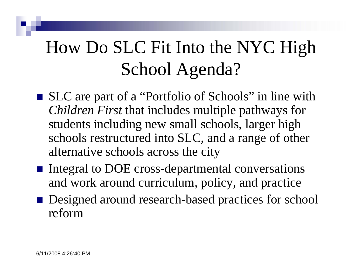## How Do SLC Fit Into the NYC High School Agenda?

- SLC are part of a "Portfolio of Schools" in line with *Children First* that includes multiple pathways for students including new small schools, larger high schools restructured into SLC, and a range of other alternative schools across the city
- Integral to DOE cross-departmental conversations and work around curriculum, policy, and practice
- Designed around research-based practices for school reform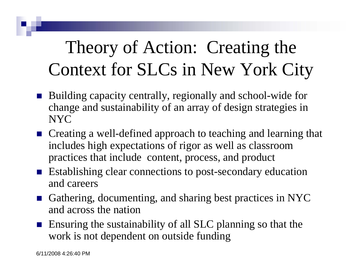## Theory of Action: Creating the Context for SLCs in New York City

- M. Building capacity centrally, regionally and school-wide for change and sustainability of an array of design strategies in NYC
- Creating a well-defined approach to teaching and learning that includes high expectations of rigor as well as classroom practices that include content, process, and product
- Establishing clear connections to post-secondary education and careers
- Gathering, documenting, and sharing best practices in NYC and across the nation
- **E** Ensuring the sustainability of all SLC planning so that the work is not dependent on outside funding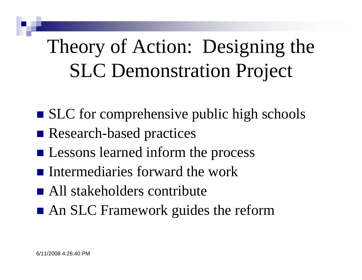## Theory of Action: Designing the SLC Demonstration Project

- SLC for comprehensive public high schools
- Research-based practices
- **Exercise Lessons learned inform the process**
- $\blacksquare$  Intermediaries forward the work
- All stakeholders contribute
- **An SLC Framework guides the reform**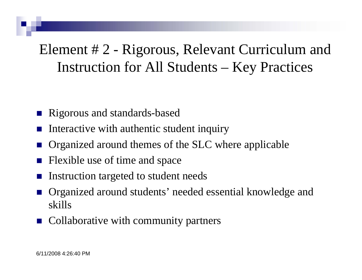Element # 2 - Rigorous, Relevant Curriculum and Instruction for All Students – Key Practices

- M. Rigorous and standards-based
- M. Interactive with authentic student inquiry
- M. Organized around themes of the SLC where applicable
- M. Flexible use of time and space
- M. Instruction targeted to student needs
- M. Organized around students' needed essential knowledge and skills
- Collaborative with community partners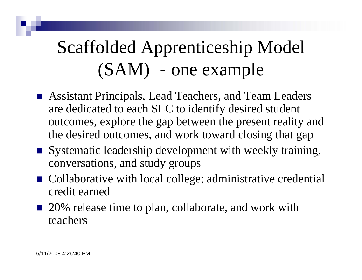## Scaffolded Apprenticeship Model (SAM) - one example

- Assistant Principals, Lead Teachers, and Team Leaders are dedicated to each SLC to identify desired student outcomes, explore the gap between the present reality and the desired outcomes, and work toward closing that gap
- Systematic leadership development with weekly training, conversations, and study groups
- Collaborative with local college; administrative credential credit earned
- 20% release time to plan, collaborate, and work with teachers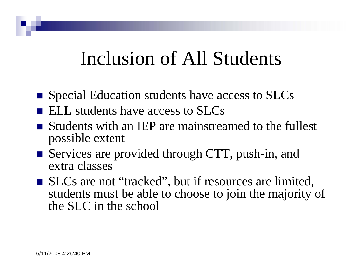### Inclusion of All Students

- **Special Education students have access to SLCs**
- $\blacksquare$  ELL students have access to SLCs
- **Students with an IEP are mainstreamed to the fullest** possible extent
- Services are provided through CTT, push-in, and extra classes
- SLCs are not "tracked", but if resources are limited, students must be able to choose to join the majority of the SLC in the school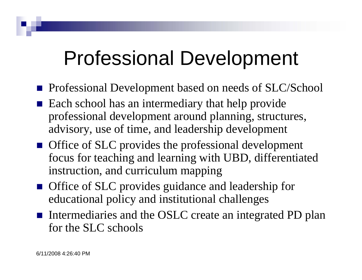## Professional Development

- **Professional Development based on needs of SLC/School**
- Each school has an intermediary that help provide professional development around planning, structures, advisory, use of time, and leadership development
- **Office of SLC** provides the professional development focus for teaching and learning with UBD, differentiated instruction, and curriculum mapping
- **Office of SLC** provides guidance and leadership for educational policy and institutional challenges
- Intermediaries and the OSLC create an integrated PD plan for the SLC schools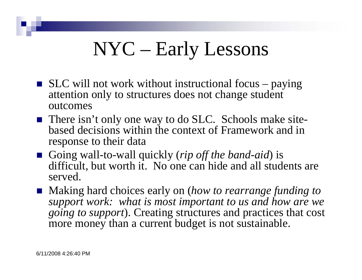## NYC – Early Lessons

- $\blacksquare$  SLC will not work without instructional focus paying attention only to structures does not change student outcomes
- There isn't only one way to do SLC. Schools make sitebased decisions within the context of Framework and in response to their data
- Going wall-to-wall quickly (*rip off the band-aid*) is difficult, but worth it. No one can hide and all students are served.
- Making hard choices early on (*how to rearrange funding to support work: what is most important to us and how are we going to support*). Creating structures and practices that cost more money than a current budget is not sustainable.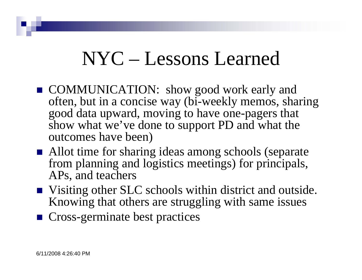## NYC – Lessons Learned

- COMMUNICATION: show good work early and often, but in a concise way (bi-weekly memos, sharing good data upward, moving to have one-pagers that show what we've done to support PD and what the outcomes have been)
- Allot time for sharing ideas among schools (separate from planning and logistics meetings) for principals, APs, and teachers
- Visiting other SLC schools within district and outside. Knowing that others are struggling with same issues
- Cross-germinate best practices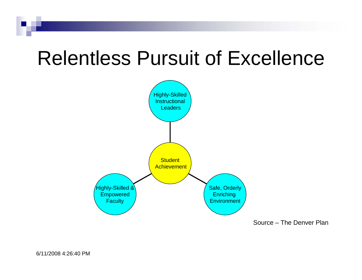## Relentless Pursuit of Excellence



Source – The Denver Plan